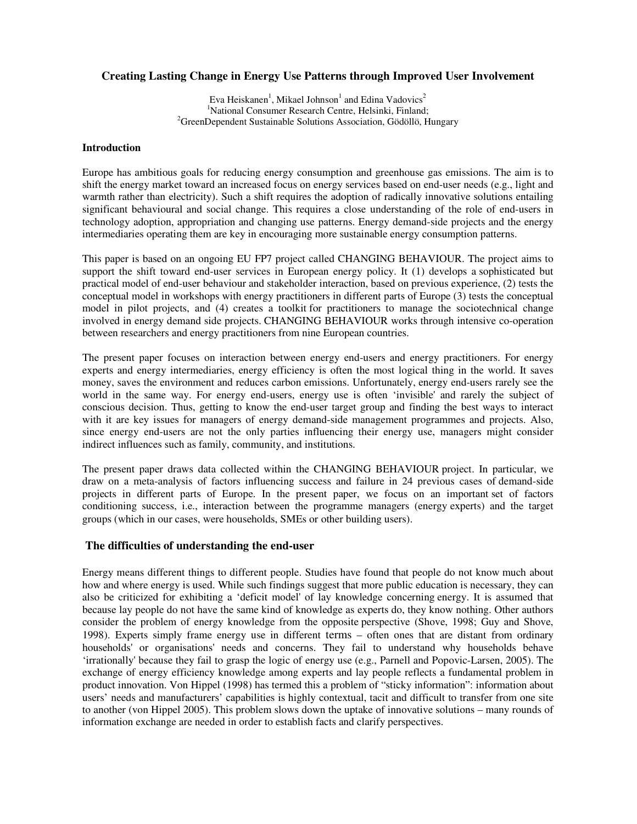# **Creating Lasting Change in Energy Use Patterns through Improved User Involvement**

Eva Heiskanen<sup>1</sup>, Mikael Johnson<sup>1</sup> and Edina Vadovics<sup>2</sup> <sup>1</sup>National Consumer Research Centre, Helsinki, Finland:  ${}^{2}$ GreenDependent Sustainable Solutions Association, Gödöllö, Hungary

### **Introduction**

Europe has ambitious goals for reducing energy consumption and greenhouse gas emissions. The aim is to shift the energy market toward an increased focus on energy services based on end-user needs (e.g., light and warmth rather than electricity). Such a shift requires the adoption of radically innovative solutions entailing significant behavioural and social change. This requires a close understanding of the role of end-users in technology adoption, appropriation and changing use patterns. Energy demand-side projects and the energy intermediaries operating them are key in encouraging more sustainable energy consumption patterns.

This paper is based on an ongoing EU FP7 project called CHANGING BEHAVIOUR. The project aims to support the shift toward end-user services in European energy policy. It (1) develops a sophisticated but practical model of end-user behaviour and stakeholder interaction, based on previous experience, (2) tests the conceptual model in workshops with energy practitioners in different parts of Europe (3) tests the conceptual model in pilot projects, and (4) creates a toolkit for practitioners to manage the sociotechnical change involved in energy demand side projects. CHANGING BEHAVIOUR works through intensive co-operation between researchers and energy practitioners from nine European countries.

The present paper focuses on interaction between energy end-users and energy practitioners. For energy experts and energy intermediaries, energy efficiency is often the most logical thing in the world. It saves money, saves the environment and reduces carbon emissions. Unfortunately, energy end-users rarely see the world in the same way. For energy end-users, energy use is often 'invisible' and rarely the subject of conscious decision. Thus, getting to know the end-user target group and finding the best ways to interact with it are key issues for managers of energy demand-side management programmes and projects. Also, since energy end-users are not the only parties influencing their energy use, managers might consider indirect influences such as family, community, and institutions.

The present paper draws data collected within the CHANGING BEHAVIOUR project. In particular, we draw on a meta-analysis of factors influencing success and failure in 24 previous cases of demand-side projects in different parts of Europe. In the present paper, we focus on an important set of factors conditioning success, i.e., interaction between the programme managers (energy experts) and the target groups (which in our cases, were households, SMEs or other building users).

## **The difficulties of understanding the end-user**

Energy means different things to different people. Studies have found that people do not know much about how and where energy is used. While such findings suggest that more public education is necessary, they can also be criticized for exhibiting a 'deficit model' of lay knowledge concerning energy. It is assumed that because lay people do not have the same kind of knowledge as experts do, they know nothing. Other authors consider the problem of energy knowledge from the opposite perspective (Shove, 1998; Guy and Shove, 1998). Experts simply frame energy use in different terms – often ones that are distant from ordinary households' or organisations' needs and concerns. They fail to understand why households behave 'irrationally' because they fail to grasp the logic of energy use (e.g., Parnell and Popovic-Larsen, 2005). The exchange of energy efficiency knowledge among experts and lay people reflects a fundamental problem in product innovation. Von Hippel (1998) has termed this a problem of "sticky information": information about users' needs and manufacturers' capabilities is highly contextual, tacit and difficult to transfer from one site to another (von Hippel 2005). This problem slows down the uptake of innovative solutions – many rounds of information exchange are needed in order to establish facts and clarify perspectives.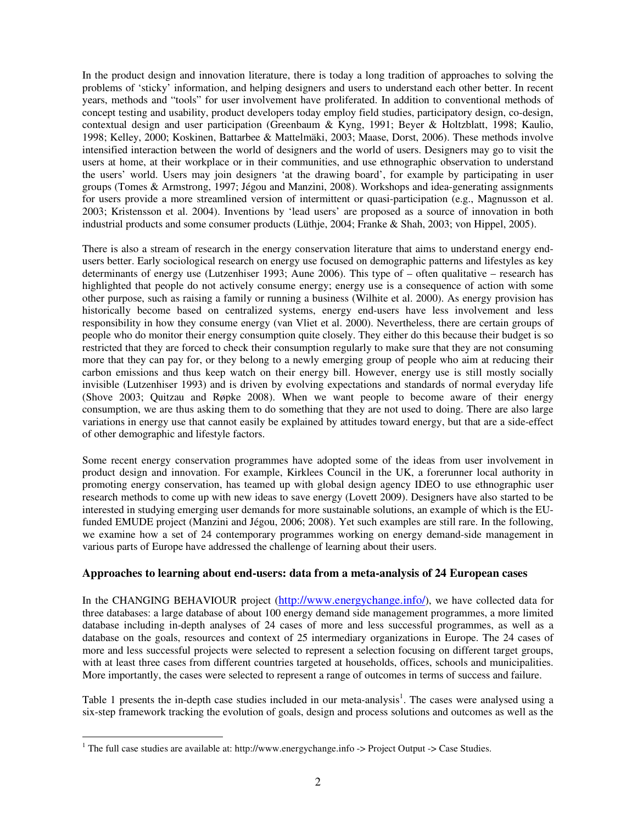In the product design and innovation literature, there is today a long tradition of approaches to solving the problems of 'sticky' information, and helping designers and users to understand each other better. In recent years, methods and "tools" for user involvement have proliferated. In addition to conventional methods of concept testing and usability, product developers today employ field studies, participatory design, co-design, contextual design and user participation (Greenbaum & Kyng, 1991; Beyer & Holtzblatt, 1998; Kaulio, 1998; Kelley, 2000; Koskinen, Battarbee & Mattelmäki, 2003; Maase, Dorst, 2006). These methods involve intensified interaction between the world of designers and the world of users. Designers may go to visit the users at home, at their workplace or in their communities, and use ethnographic observation to understand the users' world. Users may join designers 'at the drawing board', for example by participating in user groups (Tomes & Armstrong, 1997; Jégou and Manzini, 2008). Workshops and idea-generating assignments for users provide a more streamlined version of intermittent or quasi-participation (e.g., Magnusson et al. 2003; Kristensson et al. 2004). Inventions by 'lead users' are proposed as a source of innovation in both industrial products and some consumer products (Lüthje, 2004; Franke & Shah, 2003; von Hippel, 2005).

There is also a stream of research in the energy conservation literature that aims to understand energy endusers better. Early sociological research on energy use focused on demographic patterns and lifestyles as key determinants of energy use (Lutzenhiser 1993; Aune 2006). This type of – often qualitative – research has highlighted that people do not actively consume energy; energy use is a consequence of action with some other purpose, such as raising a family or running a business (Wilhite et al. 2000). As energy provision has historically become based on centralized systems, energy end-users have less involvement and less responsibility in how they consume energy (van Vliet et al. 2000). Nevertheless, there are certain groups of people who do monitor their energy consumption quite closely. They either do this because their budget is so restricted that they are forced to check their consumption regularly to make sure that they are not consuming more that they can pay for, or they belong to a newly emerging group of people who aim at reducing their carbon emissions and thus keep watch on their energy bill. However, energy use is still mostly socially invisible (Lutzenhiser 1993) and is driven by evolving expectations and standards of normal everyday life (Shove 2003; Quitzau and Røpke 2008). When we want people to become aware of their energy consumption, we are thus asking them to do something that they are not used to doing. There are also large variations in energy use that cannot easily be explained by attitudes toward energy, but that are a side-effect of other demographic and lifestyle factors.

Some recent energy conservation programmes have adopted some of the ideas from user involvement in product design and innovation. For example, Kirklees Council in the UK, a forerunner local authority in promoting energy conservation, has teamed up with global design agency IDEO to use ethnographic user research methods to come up with new ideas to save energy (Lovett 2009). Designers have also started to be interested in studying emerging user demands for more sustainable solutions, an example of which is the EUfunded EMUDE project (Manzini and Jégou, 2006; 2008). Yet such examples are still rare. In the following, we examine how a set of 24 contemporary programmes working on energy demand-side management in various parts of Europe have addressed the challenge of learning about their users.

## **Approaches to learning about end-users: data from a meta-analysis of 24 European cases**

In the CHANGING BEHAVIOUR project (http://www.energychange.info/), we have collected data for three databases: a large database of about 100 energy demand side management programmes, a more limited database including in-depth analyses of 24 cases of more and less successful programmes, as well as a database on the goals, resources and context of 25 intermediary organizations in Europe. The 24 cases of more and less successful projects were selected to represent a selection focusing on different target groups, with at least three cases from different countries targeted at households, offices, schools and municipalities. More importantly, the cases were selected to represent a range of outcomes in terms of success and failure.

Table 1 presents the in-depth case studies included in our meta-analysis<sup>1</sup>. The cases were analysed using a six-step framework tracking the evolution of goals, design and process solutions and outcomes as well as the

<sup>&</sup>lt;sup>1</sup> The full case studies are available at: http://www.energychange.info -> Project Output -> Case Studies.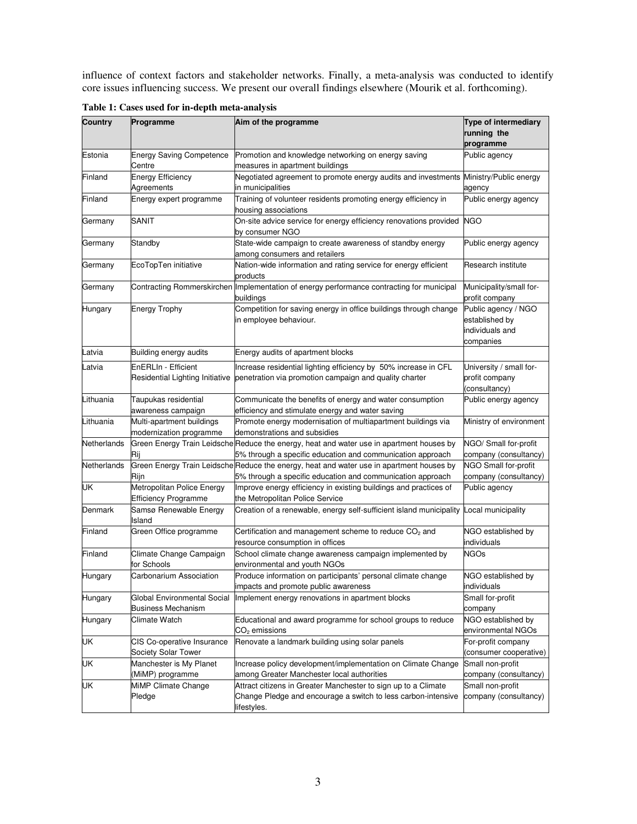influence of context factors and stakeholder networks. Finally, a meta-analysis was conducted to identify core issues influencing success. We present our overall findings elsewhere (Mourik et al. forthcoming).

| Country     | Programme                                                 | Aim of the programme                                                                                                                                   | Type of intermediary<br>running the                                   |
|-------------|-----------------------------------------------------------|--------------------------------------------------------------------------------------------------------------------------------------------------------|-----------------------------------------------------------------------|
|             |                                                           |                                                                                                                                                        | programme                                                             |
| Estonia     | <b>Energy Saving Competence</b><br>Centre                 | Promotion and knowledge networking on energy saving<br>measures in apartment buildings                                                                 | Public agency                                                         |
| Finland     | <b>Energy Efficiency</b><br>Agreements                    | Negotiated agreement to promote energy audits and investments Ministry/Public energy<br>in municipalities                                              | agency                                                                |
| Finland     | Energy expert programme                                   | Training of volunteer residents promoting energy efficiency in<br>housing associations                                                                 | Public energy agency                                                  |
| Germany     | <b>SANIT</b>                                              | On-site advice service for energy efficiency renovations provided<br>by consumer NGO                                                                   | <b>NGO</b>                                                            |
| Germany     | Standby                                                   | State-wide campaign to create awareness of standby energy<br>among consumers and retailers                                                             | Public energy agency                                                  |
| Germany     | EcoTopTen initiative                                      | Nation-wide information and rating service for energy efficient<br>products                                                                            | Research institute                                                    |
| Germany     |                                                           | Contracting Rommerskirchen Implementation of energy performance contracting for municipal<br>buildings                                                 | Municipality/small for-<br>profit company                             |
| Hungary     | <b>Energy Trophy</b>                                      | Competition for saving energy in office buildings through change<br>in employee behaviour.                                                             | Public agency / NGO<br>established by<br>individuals and<br>companies |
| Latvia      | Building energy audits                                    | Energy audits of apartment blocks                                                                                                                      |                                                                       |
| Latvia      | EnERLIn - Efficient<br>Residential Lighting Initiative    | Increase residential lighting efficiency by 50% increase in CFL<br>penetration via promotion campaign and quality charter                              | University / small for-<br>profit company<br>(consultancy)            |
| Lithuania   | Taupukas residential<br>awareness campaign                | Communicate the benefits of energy and water consumption<br>efficiency and stimulate energy and water saving                                           | Public energy agency                                                  |
| Lithuania   | Multi-apartment buildings<br>modernization programme      | Promote energy modernisation of multiapartment buildings via<br>demonstrations and subsidies                                                           | Ministry of environment                                               |
| Netherlands | Rij                                                       | Green Energy Train Leidsche Reduce the energy, heat and water use in apartment houses by<br>5% through a specific education and communication approach | NGO/ Small for-profit<br>company (consultancy)                        |
| Netherlands | Rijn                                                      | Green Energy Train Leidsche Reduce the energy, heat and water use in apartment houses by<br>5% through a specific education and communication approach | NGO Small for-profit<br>company (consultancy)                         |
| UK          | Metropolitan Police Energy<br><b>Efficiency Programme</b> | Improve energy efficiency in existing buildings and practices of<br>the Metropolitan Police Service                                                    | Public agency                                                         |
| Denmark     | Samsø Renewable Energy<br>Island                          | Creation of a renewable, energy self-sufficient island municipality Local municipality                                                                 |                                                                       |
| Finland     | Green Office programme                                    | Certification and management scheme to reduce CO <sub>2</sub> and<br>resource consumption in offices                                                   | NGO established by<br>individuals                                     |
| Finland     | Climate Change Campaign<br>for Schools                    | School climate change awareness campaign implemented by<br>environmental and youth NGOs                                                                | <b>NGOs</b>                                                           |
| Hungary     | Carbonarium Association                                   | Produce information on participants' personal climate change<br>impacts and promote public awareness                                                   | NGO established by<br>individuals                                     |
| Hungary     | Global Environmental Social<br><b>Business Mechanism</b>  | Implement energy renovations in apartment blocks                                                                                                       | Small for-profit<br>company                                           |
| Hungary     | Climate Watch                                             | Educational and award programme for school groups to reduce<br>$CO2$ emissions                                                                         | NGO established by<br>environmental NGOs                              |
| UK          | CIS Co-operative Insurance<br>Society Solar Tower         | Renovate a landmark building using solar panels                                                                                                        | For-profit company<br>(consumer cooperative)                          |
| UK          | Manchester is My Planet<br>(MiMP) programme               | Increase policy development/implementation on Climate Change<br>among Greater Manchester local authorities                                             | Small non-profit<br>company (consultancy)                             |
| UK          | MiMP Climate Change<br>Pledge                             | Attract citizens in Greater Manchester to sign up to a Climate<br>Change Pledge and encourage a switch to less carbon-intensive<br>lifestyles.         | Small non-profit<br>company (consultancy)                             |

**Table 1: Cases used for in-depth meta-analysis**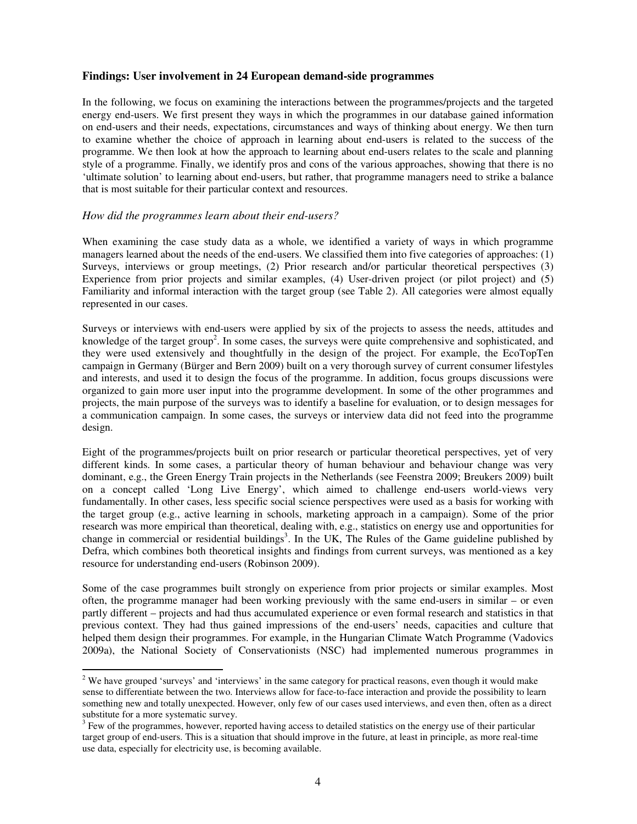## **Findings: User involvement in 24 European demand-side programmes**

In the following, we focus on examining the interactions between the programmes/projects and the targeted energy end-users. We first present they ways in which the programmes in our database gained information on end-users and their needs, expectations, circumstances and ways of thinking about energy. We then turn to examine whether the choice of approach in learning about end-users is related to the success of the programme. We then look at how the approach to learning about end-users relates to the scale and planning style of a programme. Finally, we identify pros and cons of the various approaches, showing that there is no 'ultimate solution' to learning about end-users, but rather, that programme managers need to strike a balance that is most suitable for their particular context and resources.

#### *How did the programmes learn about their end-users?*

 $\ddot{\phantom{a}}$ 

When examining the case study data as a whole, we identified a variety of ways in which programme managers learned about the needs of the end-users. We classified them into five categories of approaches: (1) Surveys, interviews or group meetings, (2) Prior research and/or particular theoretical perspectives (3) Experience from prior projects and similar examples, (4) User-driven project (or pilot project) and (5) Familiarity and informal interaction with the target group (see Table 2). All categories were almost equally represented in our cases.

Surveys or interviews with end-users were applied by six of the projects to assess the needs, attitudes and knowledge of the target group<sup>2</sup>. In some cases, the surveys were quite comprehensive and sophisticated, and they were used extensively and thoughtfully in the design of the project. For example, the EcoTopTen campaign in Germany (Bürger and Bern 2009) built on a very thorough survey of current consumer lifestyles and interests, and used it to design the focus of the programme. In addition, focus groups discussions were organized to gain more user input into the programme development. In some of the other programmes and projects, the main purpose of the surveys was to identify a baseline for evaluation, or to design messages for a communication campaign. In some cases, the surveys or interview data did not feed into the programme design.

Eight of the programmes/projects built on prior research or particular theoretical perspectives, yet of very different kinds. In some cases, a particular theory of human behaviour and behaviour change was very dominant, e.g., the Green Energy Train projects in the Netherlands (see Feenstra 2009; Breukers 2009) built on a concept called 'Long Live Energy', which aimed to challenge end-users world-views very fundamentally. In other cases, less specific social science perspectives were used as a basis for working with the target group (e.g., active learning in schools, marketing approach in a campaign). Some of the prior research was more empirical than theoretical, dealing with, e.g., statistics on energy use and opportunities for change in commercial or residential buildings<sup>3</sup>. In the UK, The Rules of the Game guideline published by Defra, which combines both theoretical insights and findings from current surveys, was mentioned as a key resource for understanding end-users (Robinson 2009).

Some of the case programmes built strongly on experience from prior projects or similar examples. Most often, the programme manager had been working previously with the same end-users in similar – or even partly different – projects and had thus accumulated experience or even formal research and statistics in that previous context. They had thus gained impressions of the end-users' needs, capacities and culture that helped them design their programmes. For example, in the Hungarian Climate Watch Programme (Vadovics 2009a), the National Society of Conservationists (NSC) had implemented numerous programmes in

<sup>&</sup>lt;sup>2</sup> We have grouped 'surveys' and 'interviews' in the same category for practical reasons, even though it would make sense to differentiate between the two. Interviews allow for face-to-face interaction and provide the possibility to learn something new and totally unexpected. However, only few of our cases used interviews, and even then, often as a direct substitute for a more systematic survey.

<sup>3</sup> Few of the programmes, however, reported having access to detailed statistics on the energy use of their particular target group of end-users. This is a situation that should improve in the future, at least in principle, as more real-time use data, especially for electricity use, is becoming available.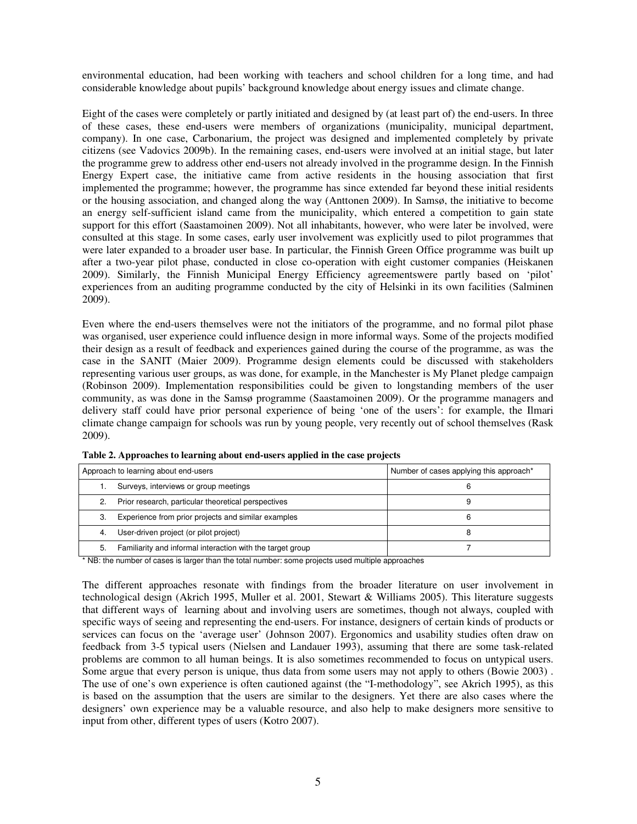environmental education, had been working with teachers and school children for a long time, and had considerable knowledge about pupils' background knowledge about energy issues and climate change.

Eight of the cases were completely or partly initiated and designed by (at least part of) the end-users. In three of these cases, these end-users were members of organizations (municipality, municipal department, company). In one case, Carbonarium, the project was designed and implemented completely by private citizens (see Vadovics 2009b). In the remaining cases, end-users were involved at an initial stage, but later the programme grew to address other end-users not already involved in the programme design. In the Finnish Energy Expert case, the initiative came from active residents in the housing association that first implemented the programme; however, the programme has since extended far beyond these initial residents or the housing association, and changed along the way (Anttonen 2009). In Samsø, the initiative to become an energy self-sufficient island came from the municipality, which entered a competition to gain state support for this effort (Saastamoinen 2009). Not all inhabitants, however, who were later be involved, were consulted at this stage. In some cases, early user involvement was explicitly used to pilot programmes that were later expanded to a broader user base. In particular, the Finnish Green Office programme was built up after a two-year pilot phase, conducted in close co-operation with eight customer companies (Heiskanen 2009). Similarly, the Finnish Municipal Energy Efficiency agreementswere partly based on 'pilot' experiences from an auditing programme conducted by the city of Helsinki in its own facilities (Salminen 2009).

Even where the end-users themselves were not the initiators of the programme, and no formal pilot phase was organised, user experience could influence design in more informal ways. Some of the projects modified their design as a result of feedback and experiences gained during the course of the programme, as was the case in the SANIT (Maier 2009). Programme design elements could be discussed with stakeholders representing various user groups, as was done, for example, in the Manchester is My Planet pledge campaign (Robinson 2009). Implementation responsibilities could be given to longstanding members of the user community, as was done in the Samsø programme (Saastamoinen 2009). Or the programme managers and delivery staff could have prior personal experience of being 'one of the users': for example, the Ilmari climate change campaign for schools was run by young people, very recently out of school themselves (Rask 2009).

| Approach to learning about end-users |                                                            | Number of cases applying this approach* |
|--------------------------------------|------------------------------------------------------------|-----------------------------------------|
|                                      | Surveys, interviews or group meetings                      |                                         |
| 2.                                   | Prior research, particular theoretical perspectives        |                                         |
| 3.                                   | Experience from prior projects and similar examples        | b                                       |
| 4.                                   | User-driven project (or pilot project)                     |                                         |
| 5.                                   | Familiarity and informal interaction with the target group |                                         |

**Table 2. Approaches to learning about end-users applied in the case projects** 

\* NB: the number of cases is larger than the total number: some projects used multiple approaches

The different approaches resonate with findings from the broader literature on user involvement in technological design (Akrich 1995, Muller et al. 2001, Stewart & Williams 2005). This literature suggests that different ways of learning about and involving users are sometimes, though not always, coupled with specific ways of seeing and representing the end-users. For instance, designers of certain kinds of products or services can focus on the 'average user' (Johnson 2007). Ergonomics and usability studies often draw on feedback from 3-5 typical users (Nielsen and Landauer 1993), assuming that there are some task-related problems are common to all human beings. It is also sometimes recommended to focus on untypical users. Some argue that every person is unique, thus data from some users may not apply to others (Bowie 2003) . The use of one's own experience is often cautioned against (the "I-methodology", see Akrich 1995), as this is based on the assumption that the users are similar to the designers. Yet there are also cases where the designers' own experience may be a valuable resource, and also help to make designers more sensitive to input from other, different types of users (Kotro 2007).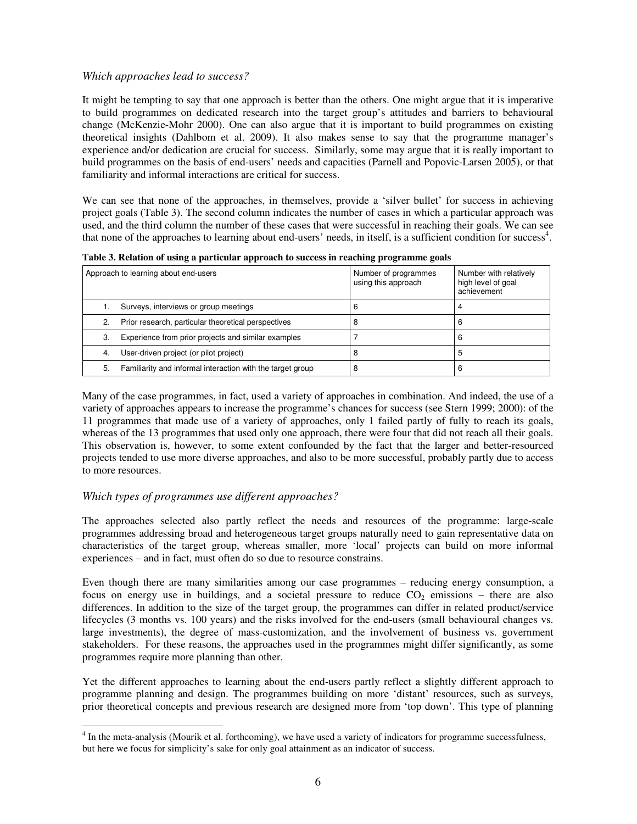# *Which approaches lead to success?*

It might be tempting to say that one approach is better than the others. One might argue that it is imperative to build programmes on dedicated research into the target group's attitudes and barriers to behavioural change (McKenzie-Mohr 2000). One can also argue that it is important to build programmes on existing theoretical insights (Dahlbom et al. 2009). It also makes sense to say that the programme manager's experience and/or dedication are crucial for success. Similarly, some may argue that it is really important to build programmes on the basis of end-users' needs and capacities (Parnell and Popovic-Larsen 2005), or that familiarity and informal interactions are critical for success.

We can see that none of the approaches, in themselves, provide a 'silver bullet' for success in achieving project goals (Table 3). The second column indicates the number of cases in which a particular approach was used, and the third column the number of these cases that were successful in reaching their goals. We can see that none of the approaches to learning about end-users' needs, in itself, is a sufficient condition for success<sup>4</sup>.

| <u>twee et remarch of again a barrent abbate of the compromedic in continuing browning comp</u> |                                                            |                                             |                                                             |  |
|-------------------------------------------------------------------------------------------------|------------------------------------------------------------|---------------------------------------------|-------------------------------------------------------------|--|
| Approach to learning about end-users                                                            |                                                            | Number of programmes<br>using this approach | Number with relatively<br>high level of goal<br>achievement |  |
|                                                                                                 | Surveys, interviews or group meetings                      |                                             | 4                                                           |  |
| 2.                                                                                              | Prior research, particular theoretical perspectives        |                                             | 6                                                           |  |
| 3.                                                                                              | Experience from prior projects and similar examples        |                                             | 6                                                           |  |
| 4.                                                                                              | User-driven project (or pilot project)                     |                                             | 5                                                           |  |
| 5.                                                                                              | Familiarity and informal interaction with the target group |                                             | 6                                                           |  |

**Table 3. Relation of using a particular approach to success in reaching programme goals** 

Many of the case programmes, in fact, used a variety of approaches in combination. And indeed, the use of a variety of approaches appears to increase the programme's chances for success (see Stern 1999; 2000): of the 11 programmes that made use of a variety of approaches, only 1 failed partly of fully to reach its goals, whereas of the 13 programmes that used only one approach, there were four that did not reach all their goals. This observation is, however, to some extent confounded by the fact that the larger and better-resourced projects tended to use more diverse approaches, and also to be more successful, probably partly due to access to more resources.

# *Which types of programmes use different approaches?*

 $\ddot{\phantom{a}}$ 

The approaches selected also partly reflect the needs and resources of the programme: large-scale programmes addressing broad and heterogeneous target groups naturally need to gain representative data on characteristics of the target group, whereas smaller, more 'local' projects can build on more informal experiences – and in fact, must often do so due to resource constrains.

Even though there are many similarities among our case programmes – reducing energy consumption, a focus on energy use in buildings, and a societal pressure to reduce  $CO<sub>2</sub>$  emissions – there are also differences. In addition to the size of the target group, the programmes can differ in related product/service lifecycles (3 months vs. 100 years) and the risks involved for the end-users (small behavioural changes vs. large investments), the degree of mass-customization, and the involvement of business vs. government stakeholders. For these reasons, the approaches used in the programmes might differ significantly, as some programmes require more planning than other.

Yet the different approaches to learning about the end-users partly reflect a slightly different approach to programme planning and design. The programmes building on more 'distant' resources, such as surveys, prior theoretical concepts and previous research are designed more from 'top down'. This type of planning

 $4$  In the meta-analysis (Mourik et al. forthcoming), we have used a variety of indicators for programme successfulness, but here we focus for simplicity's sake for only goal attainment as an indicator of success.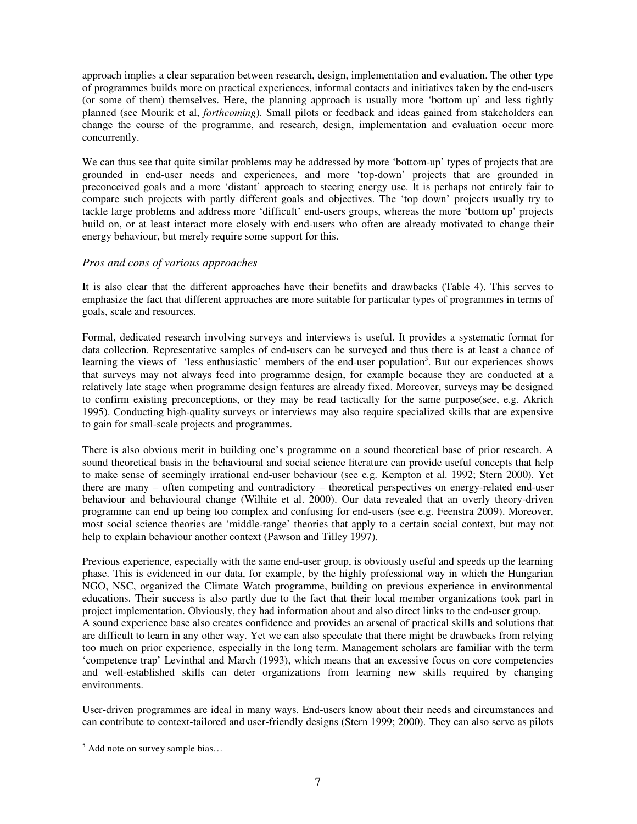approach implies a clear separation between research, design, implementation and evaluation. The other type of programmes builds more on practical experiences, informal contacts and initiatives taken by the end-users (or some of them) themselves. Here, the planning approach is usually more 'bottom up' and less tightly planned (see Mourik et al, *forthcoming*). Small pilots or feedback and ideas gained from stakeholders can change the course of the programme, and research, design, implementation and evaluation occur more concurrently.

We can thus see that quite similar problems may be addressed by more 'bottom-up' types of projects that are grounded in end-user needs and experiences, and more 'top-down' projects that are grounded in preconceived goals and a more 'distant' approach to steering energy use. It is perhaps not entirely fair to compare such projects with partly different goals and objectives. The 'top down' projects usually try to tackle large problems and address more 'difficult' end-users groups, whereas the more 'bottom up' projects build on, or at least interact more closely with end-users who often are already motivated to change their energy behaviour, but merely require some support for this.

# *Pros and cons of various approaches*

It is also clear that the different approaches have their benefits and drawbacks (Table 4). This serves to emphasize the fact that different approaches are more suitable for particular types of programmes in terms of goals, scale and resources.

Formal, dedicated research involving surveys and interviews is useful. It provides a systematic format for data collection. Representative samples of end-users can be surveyed and thus there is at least a chance of learning the views of 'less enthusiastic' members of the end-user population<sup>5</sup>. But our experiences shows that surveys may not always feed into programme design, for example because they are conducted at a relatively late stage when programme design features are already fixed. Moreover, surveys may be designed to confirm existing preconceptions, or they may be read tactically for the same purpose(see, e.g. Akrich 1995). Conducting high-quality surveys or interviews may also require specialized skills that are expensive to gain for small-scale projects and programmes.

There is also obvious merit in building one's programme on a sound theoretical base of prior research. A sound theoretical basis in the behavioural and social science literature can provide useful concepts that help to make sense of seemingly irrational end-user behaviour (see e.g. Kempton et al. 1992; Stern 2000). Yet there are many – often competing and contradictory – theoretical perspectives on energy-related end-user behaviour and behavioural change (Wilhite et al. 2000). Our data revealed that an overly theory-driven programme can end up being too complex and confusing for end-users (see e.g. Feenstra 2009). Moreover, most social science theories are 'middle-range' theories that apply to a certain social context, but may not help to explain behaviour another context (Pawson and Tilley 1997).

Previous experience, especially with the same end-user group, is obviously useful and speeds up the learning phase. This is evidenced in our data, for example, by the highly professional way in which the Hungarian NGO, NSC, organized the Climate Watch programme, building on previous experience in environmental educations. Their success is also partly due to the fact that their local member organizations took part in project implementation. Obviously, they had information about and also direct links to the end-user group. A sound experience base also creates confidence and provides an arsenal of practical skills and solutions that are difficult to learn in any other way. Yet we can also speculate that there might be drawbacks from relying too much on prior experience, especially in the long term. Management scholars are familiar with the term 'competence trap' Levinthal and March (1993), which means that an excessive focus on core competencies and well-established skills can deter organizations from learning new skills required by changing environments.

User-driven programmes are ideal in many ways. End-users know about their needs and circumstances and can contribute to context-tailored and user-friendly designs (Stern 1999; 2000). They can also serve as pilots

<sup>&</sup>lt;sup>5</sup> Add note on survey sample bias...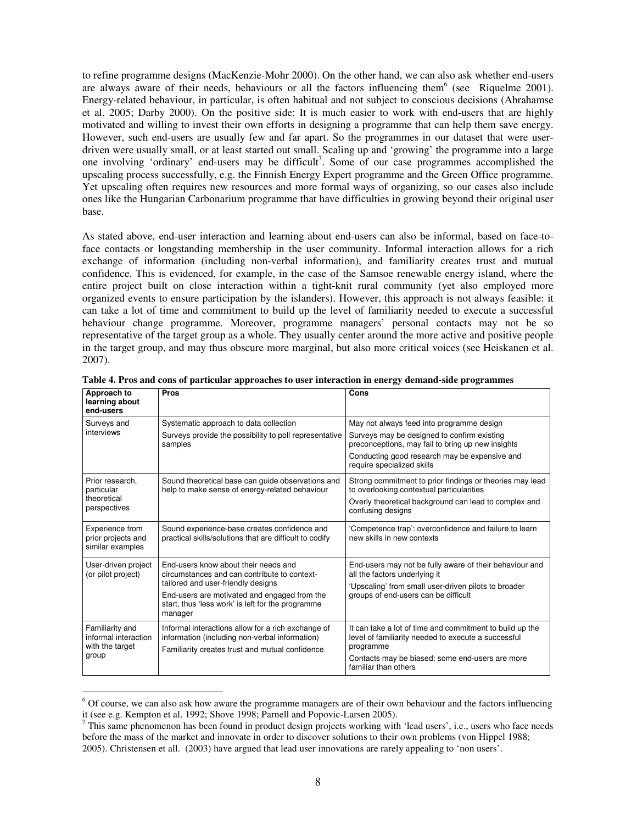to refine programme designs (MacKenzie-Mohr 2000). On the other hand, we can also ask whether end-users are always aware of their needs, behaviours or all the factors influencing them<sup>6</sup> (see Riquelme 2001). Energy-related behaviour, in particular, is often habitual and not subject to conscious decisions (Abrahamse et al. 2005; Darby 2000). On the positive side: It is much easier to work with end-users that are highly motivated and willing to invest their own efforts in designing a programme that can help them save energy. However, such end-users are usually few and far apart. So the programmes in our dataset that were userdriven were usually small, or at least started out small. Scaling up and 'growing' the programme into a large one involving 'ordinary' end-users may be difficult<sup>7</sup>. Some of our case programmes accomplished the upscaling process successfully, e.g. the Finnish Energy Expert programme and the Green Office programme. Yet upscaling often requires new resources and more formal ways of organizing, so our cases also include ones like the Hungarian Carbonarium programme that have difficulties in growing beyond their original user base.

As stated above, end-user interaction and learning about end-users can also be informal, based on face-toface contacts or longstanding membership in the user community. Informal interaction allows for a rich exchange of information (including non-verbal information), and familiarity creates trust and mutual confidence. This is evidenced, for example, in the case of the Samsoe renewable energy island, where the entire project built on close interaction within a tight-knit rural community (yet also employed more organized events to ensure participation by the islanders). However, this approach is not always feasible: it can take a lot of time and commitment to build up the level of familiarity needed to execute a successful behaviour change programme. Moreover, programme managers' personal contacts may not be so representative of the target group as a whole. They usually center around the more active and positive people in the target group, and may thus obscure more marginal, but also more critical voices (see Heiskanen et al. 2007).

| Approach to<br>learning about<br>end-users                          | <b>Pros</b>                                                                                                                                                                                                                                | Cons                                                                                                                                                                                                                         |
|---------------------------------------------------------------------|--------------------------------------------------------------------------------------------------------------------------------------------------------------------------------------------------------------------------------------------|------------------------------------------------------------------------------------------------------------------------------------------------------------------------------------------------------------------------------|
| Surveys and<br>interviews                                           | Systematic approach to data collection<br>Surveys provide the possibility to poll representative<br>samples                                                                                                                                | May not always feed into programme design<br>Surveys may be designed to confirm existing<br>preconceptions, may fail to bring up new insights<br>Conducting good research may be expensive and<br>require specialized skills |
| Prior research.<br>particular<br>theoretical<br>perspectives        | Sound theoretical base can guide observations and<br>help to make sense of energy-related behaviour                                                                                                                                        | Strong commitment to prior findings or theories may lead<br>to overlooking contextual particularities<br>Overly theoretical background can lead to complex and<br>confusing designs                                          |
| Experience from<br>prior projects and<br>similar examples           | Sound experience-base creates confidence and<br>practical skills/solutions that are difficult to codify                                                                                                                                    | 'Competence trap': overconfidence and failure to learn<br>new skills in new contexts                                                                                                                                         |
| User-driven project<br>(or pilot project)                           | End-users know about their needs and<br>circumstances and can contribute to context-<br>tailored and user-friendly designs<br>End-users are motivated and engaged from the<br>start, thus 'less work' is left for the programme<br>manager | End-users may not be fully aware of their behaviour and<br>all the factors underlying it<br>'Upscaling' from small user-driven pilots to broader<br>groups of end-users can be difficult                                     |
| Familiarity and<br>informal interaction<br>with the target<br>group | Informal interactions allow for a rich exchange of<br>information (including non-verbal information)<br>Familiarity creates trust and mutual confidence                                                                                    | It can take a lot of time and commitment to build up the<br>level of familiarity needed to execute a successful<br>programme<br>Contacts may be biased: some end-users are more<br>familiar than others                      |

**Table 4. Pros and cons of particular approaches to user interaction in energy demand-side programmes** 

 $\overline{a}$ 

<sup>&</sup>lt;sup>6</sup> Of course, we can also ask how aware the programme managers are of their own behaviour and the factors influencing it (see e.g. Kempton et al. 1992; Shove 1998; Parnell and Popovic-Larsen 2005).

 $^7$  This same phenomenon has been found in product design projects working with 'lead users', i.e., users who face needs before the mass of the market and innovate in order to discover solutions to their own problems (von Hippel 1988; 2005). Christensen et all. (2003) have argued that lead user innovations are rarely appealing to 'non users'.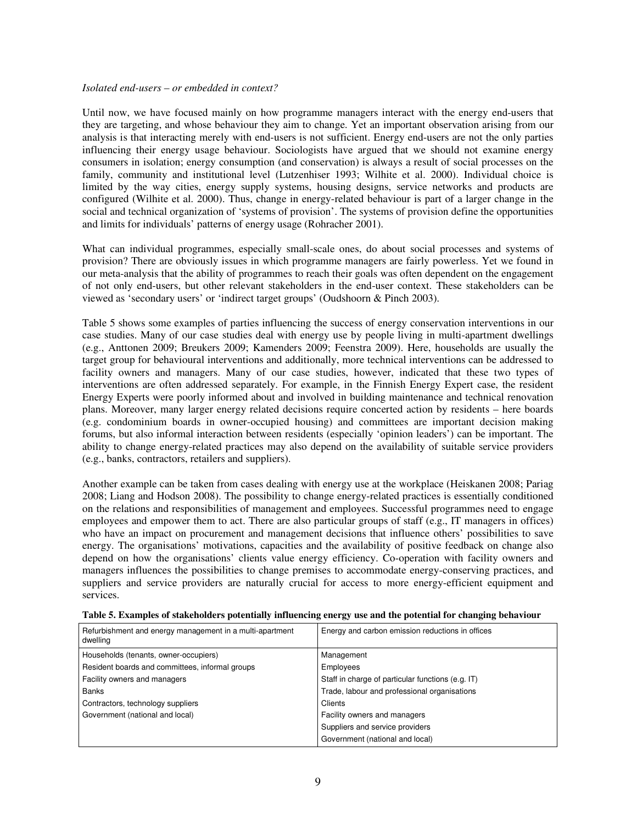#### *Isolated end-users – or embedded in context?*

Until now, we have focused mainly on how programme managers interact with the energy end-users that they are targeting, and whose behaviour they aim to change. Yet an important observation arising from our analysis is that interacting merely with end-users is not sufficient. Energy end-users are not the only parties influencing their energy usage behaviour. Sociologists have argued that we should not examine energy consumers in isolation; energy consumption (and conservation) is always a result of social processes on the family, community and institutional level (Lutzenhiser 1993; Wilhite et al. 2000). Individual choice is limited by the way cities, energy supply systems, housing designs, service networks and products are configured (Wilhite et al. 2000). Thus, change in energy-related behaviour is part of a larger change in the social and technical organization of 'systems of provision'. The systems of provision define the opportunities and limits for individuals' patterns of energy usage (Rohracher 2001).

What can individual programmes, especially small-scale ones, do about social processes and systems of provision? There are obviously issues in which programme managers are fairly powerless. Yet we found in our meta-analysis that the ability of programmes to reach their goals was often dependent on the engagement of not only end-users, but other relevant stakeholders in the end-user context. These stakeholders can be viewed as 'secondary users' or 'indirect target groups' (Oudshoorn & Pinch 2003).

Table 5 shows some examples of parties influencing the success of energy conservation interventions in our case studies. Many of our case studies deal with energy use by people living in multi-apartment dwellings (e.g., Anttonen 2009; Breukers 2009; Kamenders 2009; Feenstra 2009). Here, households are usually the target group for behavioural interventions and additionally, more technical interventions can be addressed to facility owners and managers. Many of our case studies, however, indicated that these two types of interventions are often addressed separately. For example, in the Finnish Energy Expert case, the resident Energy Experts were poorly informed about and involved in building maintenance and technical renovation plans. Moreover, many larger energy related decisions require concerted action by residents – here boards (e.g. condominium boards in owner-occupied housing) and committees are important decision making forums, but also informal interaction between residents (especially 'opinion leaders') can be important. The ability to change energy-related practices may also depend on the availability of suitable service providers (e.g., banks, contractors, retailers and suppliers).

Another example can be taken from cases dealing with energy use at the workplace (Heiskanen 2008; Pariag 2008; Liang and Hodson 2008). The possibility to change energy-related practices is essentially conditioned on the relations and responsibilities of management and employees. Successful programmes need to engage employees and empower them to act. There are also particular groups of staff (e.g., IT managers in offices) who have an impact on procurement and management decisions that influence others' possibilities to save energy. The organisations' motivations, capacities and the availability of positive feedback on change also depend on how the organisations' clients value energy efficiency. Co-operation with facility owners and managers influences the possibilities to change premises to accommodate energy-conserving practices, and suppliers and service providers are naturally crucial for access to more energy-efficient equipment and services.

| Refurbishment and energy management in a multi-apartment<br>dwelling | Energy and carbon emission reductions in offices  |
|----------------------------------------------------------------------|---------------------------------------------------|
| Households (tenants, owner-occupiers)                                | Management                                        |
| Resident boards and committees, informal groups                      | <b>Employees</b>                                  |
| Facility owners and managers                                         | Staff in charge of particular functions (e.g. IT) |
| Banks                                                                | Trade, labour and professional organisations      |
| Contractors, technology suppliers                                    | Clients                                           |
| Government (national and local)                                      | Facility owners and managers                      |
|                                                                      | Suppliers and service providers                   |
|                                                                      | Government (national and local)                   |

**Table 5. Examples of stakeholders potentially influencing energy use and the potential for changing behaviour**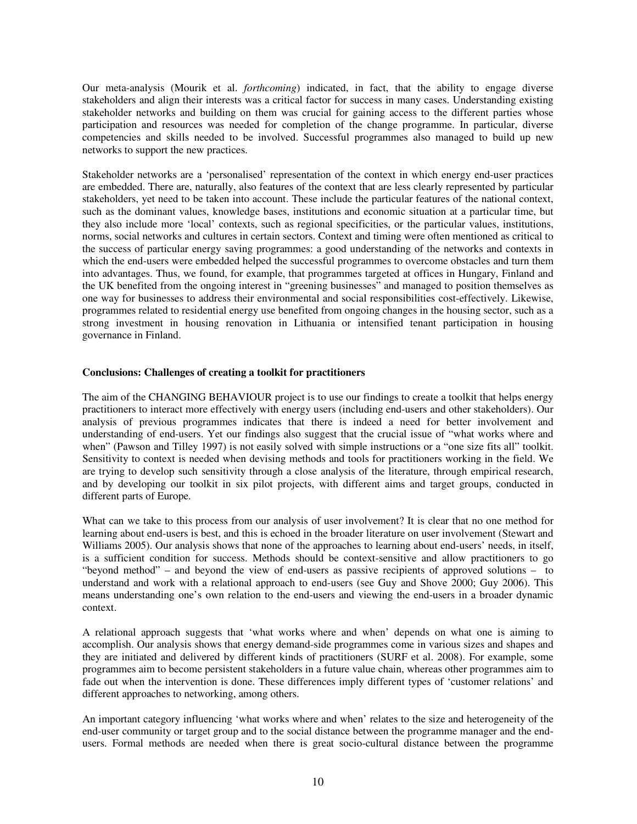Our meta-analysis (Mourik et al. *forthcoming*) indicated, in fact, that the ability to engage diverse stakeholders and align their interests was a critical factor for success in many cases. Understanding existing stakeholder networks and building on them was crucial for gaining access to the different parties whose participation and resources was needed for completion of the change programme. In particular, diverse competencies and skills needed to be involved. Successful programmes also managed to build up new networks to support the new practices.

Stakeholder networks are a 'personalised' representation of the context in which energy end-user practices are embedded. There are, naturally, also features of the context that are less clearly represented by particular stakeholders, yet need to be taken into account. These include the particular features of the national context, such as the dominant values, knowledge bases, institutions and economic situation at a particular time, but they also include more 'local' contexts, such as regional specificities, or the particular values, institutions, norms, social networks and cultures in certain sectors. Context and timing were often mentioned as critical to the success of particular energy saving programmes: a good understanding of the networks and contexts in which the end-users were embedded helped the successful programmes to overcome obstacles and turn them into advantages. Thus, we found, for example, that programmes targeted at offices in Hungary, Finland and the UK benefited from the ongoing interest in "greening businesses" and managed to position themselves as one way for businesses to address their environmental and social responsibilities cost-effectively. Likewise, programmes related to residential energy use benefited from ongoing changes in the housing sector, such as a strong investment in housing renovation in Lithuania or intensified tenant participation in housing governance in Finland.

### **Conclusions: Challenges of creating a toolkit for practitioners**

The aim of the CHANGING BEHAVIOUR project is to use our findings to create a toolkit that helps energy practitioners to interact more effectively with energy users (including end-users and other stakeholders). Our analysis of previous programmes indicates that there is indeed a need for better involvement and understanding of end-users. Yet our findings also suggest that the crucial issue of "what works where and when" (Pawson and Tilley 1997) is not easily solved with simple instructions or a "one size fits all" toolkit. Sensitivity to context is needed when devising methods and tools for practitioners working in the field. We are trying to develop such sensitivity through a close analysis of the literature, through empirical research, and by developing our toolkit in six pilot projects, with different aims and target groups, conducted in different parts of Europe.

What can we take to this process from our analysis of user involvement? It is clear that no one method for learning about end-users is best, and this is echoed in the broader literature on user involvement (Stewart and Williams 2005). Our analysis shows that none of the approaches to learning about end-users' needs, in itself, is a sufficient condition for success. Methods should be context-sensitive and allow practitioners to go "beyond method" – and beyond the view of end-users as passive recipients of approved solutions – to understand and work with a relational approach to end-users (see Guy and Shove 2000; Guy 2006). This means understanding one's own relation to the end-users and viewing the end-users in a broader dynamic context.

A relational approach suggests that 'what works where and when' depends on what one is aiming to accomplish. Our analysis shows that energy demand-side programmes come in various sizes and shapes and they are initiated and delivered by different kinds of practitioners (SURF et al. 2008). For example, some programmes aim to become persistent stakeholders in a future value chain, whereas other programmes aim to fade out when the intervention is done. These differences imply different types of 'customer relations' and different approaches to networking, among others.

An important category influencing 'what works where and when' relates to the size and heterogeneity of the end-user community or target group and to the social distance between the programme manager and the endusers. Formal methods are needed when there is great socio-cultural distance between the programme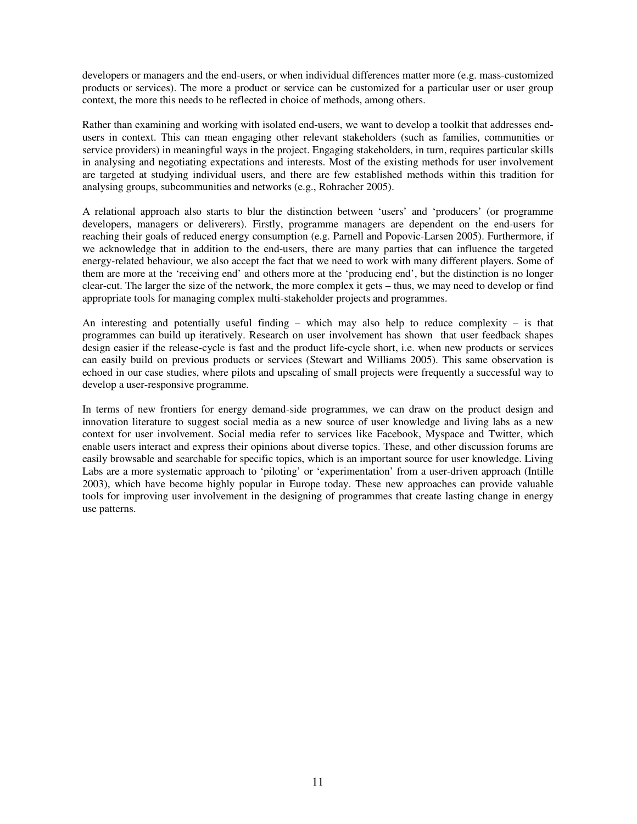developers or managers and the end-users, or when individual differences matter more (e.g. mass-customized products or services). The more a product or service can be customized for a particular user or user group context, the more this needs to be reflected in choice of methods, among others.

Rather than examining and working with isolated end-users, we want to develop a toolkit that addresses endusers in context. This can mean engaging other relevant stakeholders (such as families, communities or service providers) in meaningful ways in the project. Engaging stakeholders, in turn, requires particular skills in analysing and negotiating expectations and interests. Most of the existing methods for user involvement are targeted at studying individual users, and there are few established methods within this tradition for analysing groups, subcommunities and networks (e.g., Rohracher 2005).

A relational approach also starts to blur the distinction between 'users' and 'producers' (or programme developers, managers or deliverers). Firstly, programme managers are dependent on the end-users for reaching their goals of reduced energy consumption (e.g. Parnell and Popovic-Larsen 2005). Furthermore, if we acknowledge that in addition to the end-users, there are many parties that can influence the targeted energy-related behaviour, we also accept the fact that we need to work with many different players. Some of them are more at the 'receiving end' and others more at the 'producing end', but the distinction is no longer clear-cut. The larger the size of the network, the more complex it gets – thus, we may need to develop or find appropriate tools for managing complex multi-stakeholder projects and programmes.

An interesting and potentially useful finding – which may also help to reduce complexity – is that programmes can build up iteratively. Research on user involvement has shown that user feedback shapes design easier if the release-cycle is fast and the product life-cycle short, i.e. when new products or services can easily build on previous products or services (Stewart and Williams 2005). This same observation is echoed in our case studies, where pilots and upscaling of small projects were frequently a successful way to develop a user-responsive programme.

In terms of new frontiers for energy demand-side programmes, we can draw on the product design and innovation literature to suggest social media as a new source of user knowledge and living labs as a new context for user involvement. Social media refer to services like Facebook, Myspace and Twitter, which enable users interact and express their opinions about diverse topics. These, and other discussion forums are easily browsable and searchable for specific topics, which is an important source for user knowledge. Living Labs are a more systematic approach to 'piloting' or 'experimentation' from a user-driven approach (Intille 2003), which have become highly popular in Europe today. These new approaches can provide valuable tools for improving user involvement in the designing of programmes that create lasting change in energy use patterns.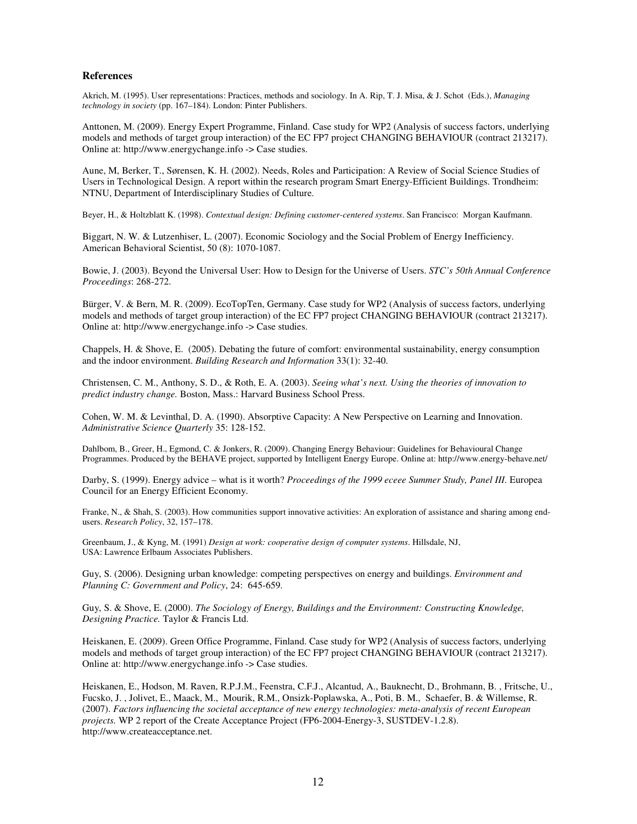#### **References**

Akrich, M. (1995). User representations: Practices, methods and sociology. In A. Rip, T. J. Misa, & J. Schot (Eds.), *Managing technology in society* (pp. 167–184). London: Pinter Publishers.

Anttonen, M. (2009). Energy Expert Programme, Finland. Case study for WP2 (Analysis of success factors, underlying models and methods of target group interaction) of the EC FP7 project CHANGING BEHAVIOUR (contract 213217). Online at: http://www.energychange.info -> Case studies.

Aune, M, Berker, T., Sørensen, K. H. (2002). Needs, Roles and Participation: A Review of Social Science Studies of Users in Technological Design. A report within the research program Smart Energy-Efficient Buildings. Trondheim: NTNU, Department of Interdisciplinary Studies of Culture.

Beyer, H., & Holtzblatt K. (1998). *Contextual design: Defining customer-centered systems*. San Francisco: Morgan Kaufmann.

Biggart, N. W. & Lutzenhiser, L. (2007). Economic Sociology and the Social Problem of Energy Inefficiency. American Behavioral Scientist, 50 (8): 1070-1087.

Bowie, J. (2003). Beyond the Universal User: How to Design for the Universe of Users. *STC's 50th Annual Conference Proceedings*: 268-272.

Bürger, V. & Bern, M. R. (2009). EcoTopTen, Germany. Case study for WP2 (Analysis of success factors, underlying models and methods of target group interaction) of the EC FP7 project CHANGING BEHAVIOUR (contract 213217). Online at: http://www.energychange.info -> Case studies.

Chappels, H. & Shove, E. (2005). Debating the future of comfort: environmental sustainability, energy consumption and the indoor environment. *Building Research and Information* 33(1): 32-40.

Christensen, C. M., Anthony, S. D., & Roth, E. A. (2003). *Seeing what's next. Using the theories of innovation to predict industry change.* Boston, Mass.: Harvard Business School Press.

Cohen, W. M. & Levinthal, D. A. (1990). Absorptive Capacity: A New Perspective on Learning and Innovation. *Administrative Science Quarterly* 35: 128-152.

Dahlbom, B., Greer, H., Egmond, C. & Jonkers, R. (2009). Changing Energy Behaviour: Guidelines for Behavioural Change Programmes. Produced by the BEHAVE project, supported by Intelligent Energy Europe. Online at: http://www.energy-behave.net/

Darby, S. (1999). Energy advice – what is it worth? *Proceedings of the 1999 eceee Summer Study, Panel III.* Europea Council for an Energy Efficient Economy.

Franke, N., & Shah, S. (2003). How communities support innovative activities: An exploration of assistance and sharing among endusers. *Research Policy*, 32, 157–178.

Greenbaum, J., & Kyng, M. (1991) *Design at work: cooperative design of computer systems*. Hillsdale, NJ, USA: Lawrence Erlbaum Associates Publishers.

Guy, S. (2006). Designing urban knowledge: competing perspectives on energy and buildings. *Environment and Planning C: Government and Policy*, 24: 645-659.

Guy, S. & Shove, E. (2000). *The Sociology of Energy, Buildings and the Environment: Constructing Knowledge, Designing Practice.* Taylor & Francis Ltd.

Heiskanen, E. (2009). Green Office Programme, Finland. Case study for WP2 (Analysis of success factors, underlying models and methods of target group interaction) of the EC FP7 project CHANGING BEHAVIOUR (contract 213217). Online at: http://www.energychange.info -> Case studies.

Heiskanen, E., Hodson, M. Raven, R.P.J.M., Feenstra, C.F.J., Alcantud, A., Bauknecht, D., Brohmann, B. , Fritsche, U., Fucsko, J. , Jolivet, E., Maack, M., Mourik, R.M., Onsizk-Poplawska, A., Poti, B. M., Schaefer, B. & Willemse, R. (2007). *Factors influencing the societal acceptance of new energy technologies: meta-analysis of recent European projects.* WP 2 report of the Create Acceptance Project (FP6-2004-Energy-3, SUSTDEV-1.2.8). http://www.createacceptance.net.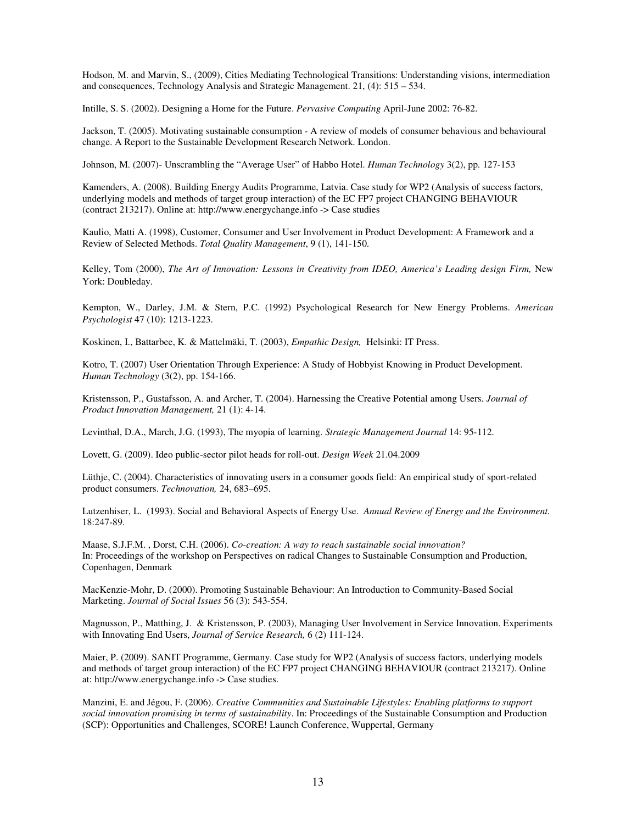Hodson, M. and Marvin, S., (2009), Cities Mediating Technological Transitions: Understanding visions, intermediation and consequences, Technology Analysis and Strategic Management. 21, (4): 515 – 534.

Intille, S. S. (2002). Designing a Home for the Future. *Pervasive Computing* April-June 2002: 76-82.

Jackson, T. (2005). Motivating sustainable consumption - A review of models of consumer behavious and behavioural change. A Report to the Sustainable Development Research Network. London.

Johnson, M. (2007)- Unscrambling the "Average User" of Habbo Hotel. *Human Technology* 3(2), pp. 127-153

Kamenders, A. (2008). Building Energy Audits Programme, Latvia. Case study for WP2 (Analysis of success factors, underlying models and methods of target group interaction) of the EC FP7 project CHANGING BEHAVIOUR (contract 213217). Online at: http://www.energychange.info -> Case studies

Kaulio, Matti A. (1998), Customer, Consumer and User Involvement in Product Development: A Framework and a Review of Selected Methods. *Total Quality Management*, 9 (1), 141-150.

Kelley, Tom (2000), *The Art of Innovation: Lessons in Creativity from IDEO, America's Leading design Firm*, New York: Doubleday.

Kempton, W., Darley, J.M. & Stern, P.C. (1992) Psychological Research for New Energy Problems. *American Psychologist* 47 (10): 1213-1223.

Koskinen, I., Battarbee, K. & Mattelmäki, T. (2003), *Empathic Design,* Helsinki: IT Press.

Kotro, T. (2007) User Orientation Through Experience: A Study of Hobbyist Knowing in Product Development. *Human Technology* (3(2), pp. 154-166.

Kristensson, P., Gustafsson, A. and Archer, T. (2004). Harnessing the Creative Potential among Users*. Journal of Product Innovation Management,* 21 (1): 4-14.

Levinthal, D.A., March, J.G. (1993), The myopia of learning. *Strategic Management Journal* 14: 95-112.

Lovett, G. (2009). Ideo public-sector pilot heads for roll-out. *Design Week* 21.04.2009

Lüthje, C. (2004). Characteristics of innovating users in a consumer goods field: An empirical study of sport-related product consumers. *Technovation,* 24, 683–695.

Lutzenhiser, L. (1993). Social and Behavioral Aspects of Energy Use. *Annual Review of Energy and the Environment.* 18:247-89.

Maase, S.J.F.M. , Dorst, C.H. (2006). *Co-creation: A way to reach sustainable social innovation?* In: Proceedings of the workshop on Perspectives on radical Changes to Sustainable Consumption and Production, Copenhagen, Denmark

MacKenzie-Mohr, D. (2000). Promoting Sustainable Behaviour: An Introduction to Community-Based Social Marketing. *Journal of Social Issues* 56 (3): 543-554.

Magnusson, P., Matthing, J. & Kristensson, P. (2003), Managing User Involvement in Service Innovation. Experiments with Innovating End Users, *Journal of Service Research,* 6 (2) 111-124.

Maier, P. (2009). SANIT Programme, Germany. Case study for WP2 (Analysis of success factors, underlying models and methods of target group interaction) of the EC FP7 project CHANGING BEHAVIOUR (contract 213217). Online at: http://www.energychange.info -> Case studies.

Manzini, E. and Jégou, F. (2006). *Creative Communities and Sustainable Lifestyles: Enabling platforms to support social innovation promising in terms of sustainability*. In: Proceedings of the Sustainable Consumption and Production (SCP): Opportunities and Challenges, SCORE! Launch Conference, Wuppertal, Germany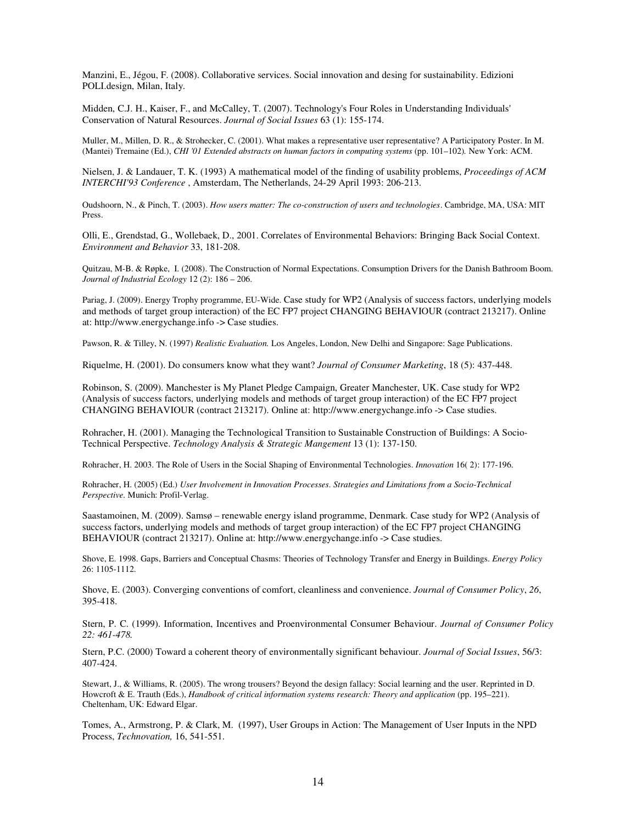Manzini, E., Jégou, F. (2008). Collaborative services. Social innovation and desing for sustainability. Edizioni POLI.design, Milan, Italy.

Midden, C.J. H., Kaiser, F., and McCalley, T. (2007). Technology's Four Roles in Understanding Individuals' Conservation of Natural Resources. *Journal of Social Issues* 63 (1): 155-174.

Muller, M., Millen, D. R., & Strohecker, C. (2001). What makes a representative user representative? A Participatory Poster. In M. (Mantei) Tremaine (Ed.), *CHI '01 Extended abstracts on human factors in computing systems (pp. 101–102)*. New York: ACM.

Nielsen, J. & Landauer, T. K. (1993) A mathematical model of the finding of usability problems, *Proceedings of ACM INTERCHI'93 Conference* , Amsterdam, The Netherlands, 24-29 April 1993: 206-213.

Oudshoorn, N., & Pinch, T. (2003). *How users matter: The co-construction of users and technologies*. Cambridge, MA, USA: MIT Press.

Olli, E., Grendstad, G., Wollebaek, D., 2001. Correlates of Environmental Behaviors: Bringing Back Social Context. *Environment and Behavior* 33, 181-208.

Quitzau, M-B. & Røpke, I. (2008). The Construction of Normal Expectations. Consumption Drivers for the Danish Bathroom Boom. *Journal of Industrial Ecology* 12 (2): 186 – 206.

Pariag, J. (2009). Energy Trophy programme, EU-Wide. Case study for WP2 (Analysis of success factors, underlying models and methods of target group interaction) of the EC FP7 project CHANGING BEHAVIOUR (contract 213217). Online at: http://www.energychange.info -> Case studies.

Pawson, R. & Tilley, N. (1997) *Realistic Evaluation.* Los Angeles, London, New Delhi and Singapore: Sage Publications.

Riquelme, H. (2001). Do consumers know what they want? *Journal of Consumer Marketing*, 18 (5): 437-448.

Robinson, S. (2009). Manchester is My Planet Pledge Campaign, Greater Manchester, UK. Case study for WP2 (Analysis of success factors, underlying models and methods of target group interaction) of the EC FP7 project CHANGING BEHAVIOUR (contract 213217). Online at: http://www.energychange.info -> Case studies.

Rohracher, H. (2001). Managing the Technological Transition to Sustainable Construction of Buildings: A Socio-Technical Perspective. *Technology Analysis & Strategic Mangement* 13 (1): 137-150.

Rohracher, H. 2003. The Role of Users in the Social Shaping of Environmental Technologies. *Innovation* 16( 2): 177-196.

Rohracher, H. (2005) (Ed.) *User Involvement in Innovation Processes. Strategies and Limitations from a Socio-Technical Perspective.* Munich: Profil-Verlag.

Saastamoinen, M. (2009). Samsø – renewable energy island programme, Denmark. Case study for WP2 (Analysis of success factors, underlying models and methods of target group interaction) of the EC FP7 project CHANGING BEHAVIOUR (contract 213217). Online at: http://www.energychange.info -> Case studies.

Shove, E. 1998. Gaps, Barriers and Conceptual Chasms: Theories of Technology Transfer and Energy in Buildings. *Energy Policy*  26: 1105-1112.

Shove, E. (2003). Converging conventions of comfort, cleanliness and convenience. *Journal of Consumer Policy*, *26*, 395-418.

Stern, P. C. (1999). Information, Incentives and Proenvironmental Consumer Behaviour. *Journal of Consumer Policy 22: 461-478.* 

Stern, P.C. (2000) Toward a coherent theory of environmentally significant behaviour. *Journal of Social Issues*, 56/3: 407-424.

Stewart, J., & Williams, R. (2005). The wrong trousers? Beyond the design fallacy: Social learning and the user. Reprinted in D. Howcroft & E. Trauth (Eds.), *Handbook of critical information systems research: Theory and application* (pp. 195–221). Cheltenham, UK: Edward Elgar.

Tomes, A., Armstrong, P. & Clark, M. (1997), User Groups in Action: The Management of User Inputs in the NPD Process, *Technovation,* 16, 541-551.